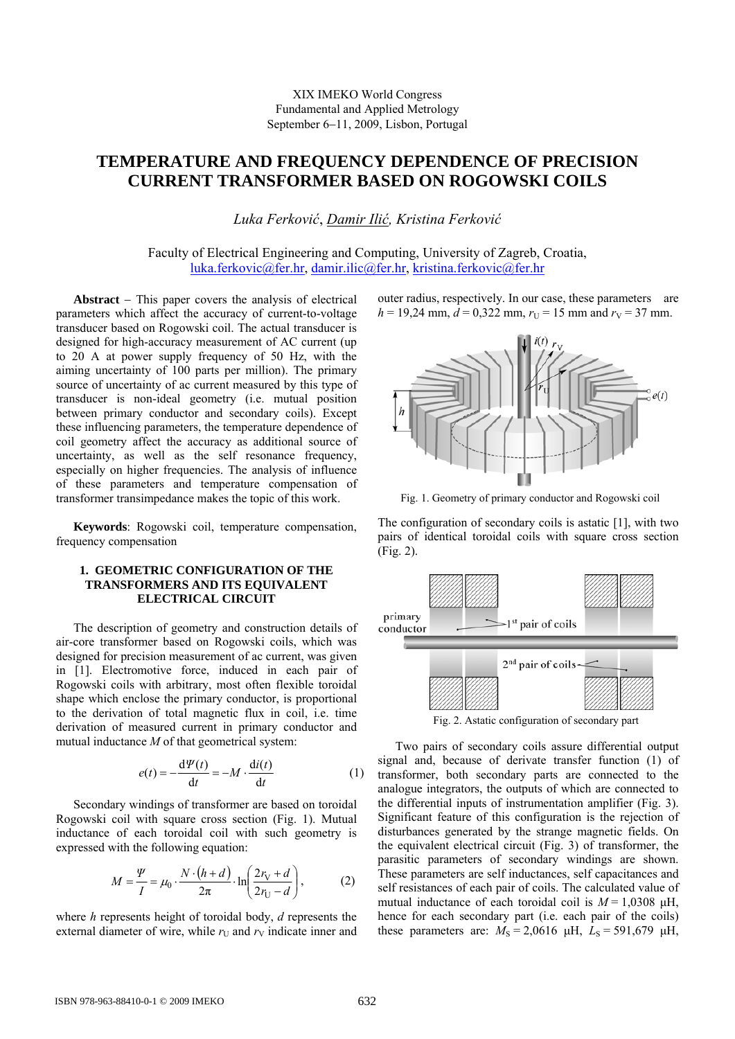# XIX IMEKO World Congress Fundamental and Applied Metrology September 6−11, 2009, Lisbon, Portugal

# **TEMPERATURE AND FREQUENCY DEPENDENCE OF PRECISION CURRENT TRANSFORMER BASED ON ROGOWSKI COILS**

*Luka Ferković*, *Damir Ilić, Kristina Ferković*

Faculty of Electrical Engineering and Computing, University of Zagreb, Croatia, [luka.ferkovic@fer.hr,](mailto:luka.ferkovic@fer.hr) [damir.ilic@fer.hr,](mailto:damir.ilic@fer.hr) [kristina.ferkovic@fer.hr](mailto:kristina.ferkovic@fer.hr)

**Abstract** − This paper covers the analysis of electrical parameters which affect the accuracy of current-to-voltage transducer based on Rogowski coil. The actual transducer is designed for high-accuracy measurement of AC current (up to 20 A at power supply frequency of 50 Hz, with the aiming uncertainty of 100 parts per million). The primary source of uncertainty of ac current measured by this type of transducer is non-ideal geometry (i.e. mutual position between primary conductor and secondary coils). Except these influencing parameters, the temperature dependence of coil geometry affect the accuracy as additional source of uncertainty, as well as the self resonance frequency, especially on higher frequencies. The analysis of influence of these parameters and temperature compensation of transformer transimpedance makes the topic of this work.

**Keywords**: Rogowski coil, temperature compensation, frequency compensation

# **1. GEOMETRIC CONFIGURATION OF THE TRANSFORMERS AND ITS EQUIVALENT ELECTRICAL CIRCUIT**

The description of geometry and construction details of air-core transformer based on Rogowski coils, which was designed for precision measurement of ac current, was given in [1]. Electromotive force, induced in each pair of Rogowski coils with arbitrary, most often flexible toroidal shape which enclose the primary conductor, is proportional to the derivation of total magnetic flux in coil, i.e. time derivation of measured current in primary conductor and mutual inductance *M* of that geometrical system:

$$
e(t) = -\frac{d\Psi(t)}{dt} = -M \cdot \frac{di(t)}{dt}
$$
 (1)

Secondary windings of transformer are based on toroidal Rogowski coil with square cross section (Fig. 1). Mutual inductance of each toroidal coil with such geometry is expressed with the following equation:

$$
M = \frac{\Psi}{I} = \mu_0 \cdot \frac{N \cdot (h+d)}{2\pi} \cdot \ln\left(\frac{2r_V + d}{2r_U - d}\right),\tag{2}
$$

where *h* represents height of toroidal body, *d* represents the external diameter of wire, while  $r_U$  and  $r_V$  indicate inner and outer radius, respectively. In our case, these parameters are  $h = 19.24$  mm,  $d = 0.322$  mm,  $r_U = 15$  mm and  $r_V = 37$  mm.



Fig. 1. Geometry of primary conductor and Rogowski coil

The configuration of secondary coils is astatic [1], with two pairs of identical toroidal coils with square cross section (Fig. 2).



Fig. 2. Astatic configuration of secondary part

Two pairs of secondary coils assure differential output signal and, because of derivate transfer function (1) of transformer, both secondary parts are connected to the analogue integrators, the outputs of which are connected to the differential inputs of instrumentation amplifier (Fig. 3). Significant feature of this configuration is the rejection of disturbances generated by the strange magnetic fields. On the equivalent electrical circuit (Fig. 3) of transformer, the parasitic parameters of secondary windings are shown. These parameters are self inductances, self capacitances and self resistances of each pair of coils. The calculated value of mutual inductance of each toroidal coil is  $M = 1,0308$   $\mu$ H, hence for each secondary part (i.e. each pair of the coils) these parameters are:  $M<sub>S</sub> = 2,0616$   $\mu$ H,  $L<sub>S</sub> = 591,679$   $\mu$ H,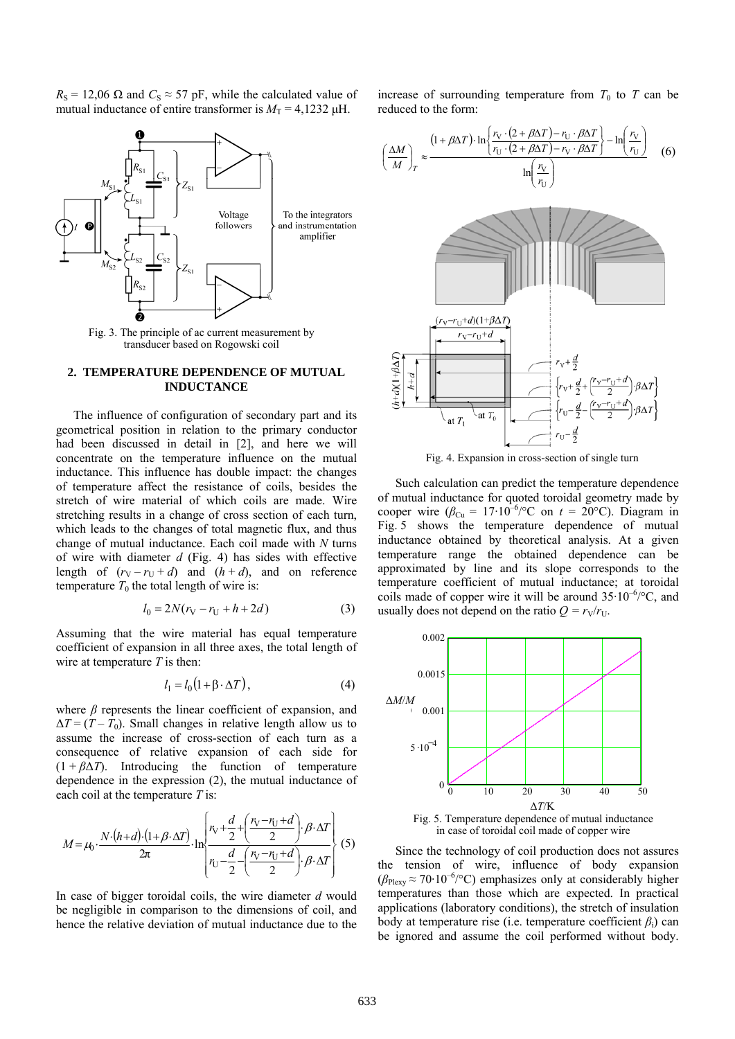$R_{\rm S}$  = 12,06  $\Omega$  and  $C_{\rm S} \approx 57$  pF, while the calculated value of mutual inductance of entire transformer is  $M_T = 4,1232 \mu H$ .



Fig. 3. The p rinciple of ac current measurement by transducer based on Rogowski coil

### 2. TEMPERATURE DEPENDENCE OF MUTUAL **INDUCTANCE**

The influence of configuration of secondary part and its geometrical position in relation to the primary conductor had been discussed in detail in [2], and here we will concentrate on the temperature influence on the mutual inductance. This influence has double impact: the changes of temperature affect the resistance of coils, besides the stretch of wire material of which coils are made. Wire stretching results in a change of cross section of each turn, which leads to the changes of total magnetic flux, and thus change of mutual inductance. Each coil made with *N* turns of wire with diameter *d* (Fig. 4) has sides with effective length of  $(r_V - r_U + d)$  and  $(h + d)$ , and on reference temperature  $T_0$  the total length of wire is:

$$
l_0 = 2N(r_V - r_U + h + 2d)
$$
 (3)

Assuming that the wire material has equal temperature coef ficient of expansion in all three axes, the total length of wire at temperature *T* is then:

$$
l_1 = l_0 \big( 1 + \beta \cdot \Delta T \big),\tag{4}
$$

where  $\beta$  represents the linear coefficient of expansion, and  $\Delta T = (T - T_0)$ . Small changes in relative length allow us to assume the increase of cross-section of each turn as a consequence of relative expansion of each side for  $(1 + \beta \Delta T)$ . Introducing the function of temperature dependence in the expression (2), the mutual inductance of each coil at the temperature *T* is:

$$
M = \mu_0 \cdot \frac{N \cdot (h+d) \cdot (1+\beta \cdot \Delta T)}{2\pi} \cdot \ln \left\{ \frac{r_v + \frac{d}{2} + \left(\frac{r_v - r_{\text{U}} + d}{2}\right) \cdot \beta \cdot \Delta T}{r_{\text{U}} - \frac{d}{2} - \left(\frac{r_v - r_{\text{U}} + d}{2}\right) \cdot \beta \cdot \Delta T} \right\} (5)
$$

In case of bigger toroidal coils, the wire diameter *d* would be negligible in comparison to the dimensions of coil, and hence the relative deviation of mutual inductance due to the

increase of surrounding temperature from  $T_0$  to  $T$  can be reduced to the form:



Fig. 4. Expansion in cross-section of single turn

Such calculation can predict the temperature dependence of mutual inductance for quoted toroidal geometry made by cooper wire  $(\beta_{Cu} = 17.10^{-6}/^{\circ}C$  on  $t = 20^{\circ}C$ ). Diagram in Fig. 5 shows the temperature dependence of mutual inductance obtained by theoretical analysis. At a given temperature range the obtained dependence can be approximated by line and its slope corresponds to the temperature coefficient of mutual inductance; at toroidal coils made of copper wire it will be around  $35.10^{-6}$ /°C, andusually does not depend on the ratio  $Q = r_V/r_U$ .



Fig. 5. Temperature dependence of mutual inductance in case of toroidal coil made of copper wire

Since the technology of coil production does not assures the tension of wire, influence of body expansion  $(\beta_{\text{Plexy}} \approx 70.10^{-6} / \text{°C})$  emphasizes only at considerably higher temperatures than those which are expected. In practical applications (laboratory conditions), the stretch of insulation body at temperature rise (i.e. temperature coefficient  $\beta_i$ ) can be ignored and assume the coil performed without body.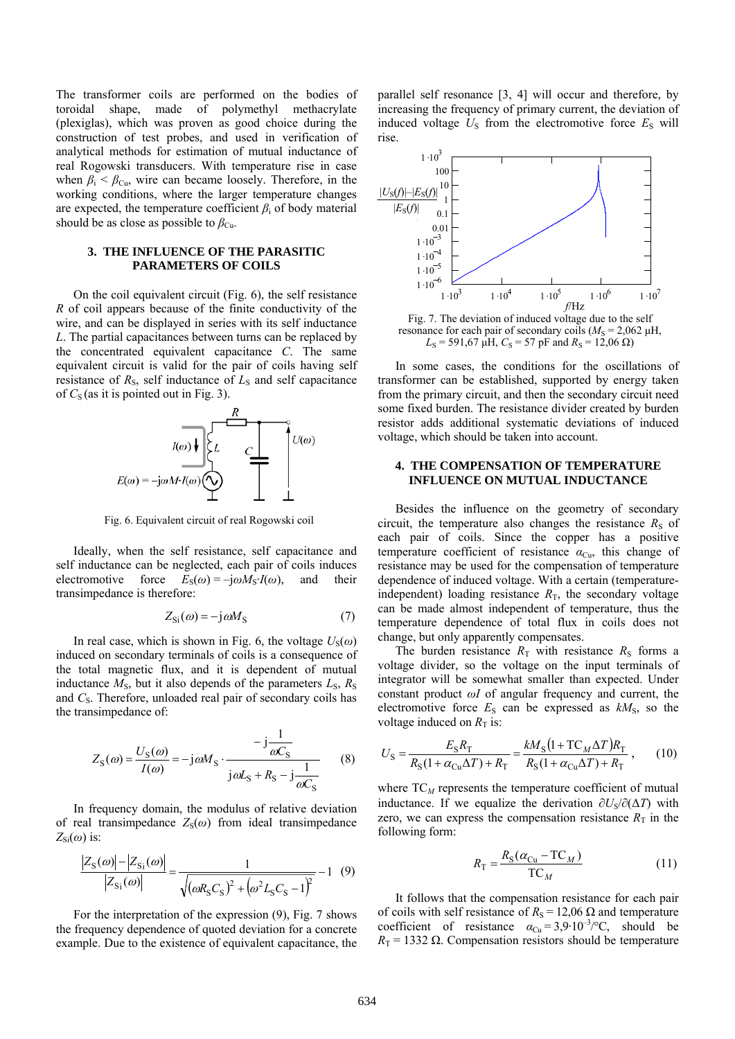The transformer coils are performed on the bodies of toroidal shape, made of polymethyl methacrylate (plexiglas), which was proven as good choice during the construction of test probes, and used in verification of analytical methods for estimation of mutual inductance of real Rogowski transducers. With temperature rise in case when  $\beta_i < \beta_{\text{Cu}}$ , wire can became loosely. Therefore, in the working conditions, where the larger temperature changes are expected, the temperature coefficient  $\beta_i$  of body material should be as close as possible to  $\beta_{\text{Cu}}$ .

# **3. THE INFLUENCE OF THE PARASITIC PARAMETERS OF COILS**

On the coil equivalent circuit (Fig. 6), the self resistance *R* o f coil appears because of the finite conductivity of the wire, and can be displayed in series with its self inductance *L*. The partial capacitances between turns can be replaced by the concentrated equivalent capacitance *C*. The same equivalent circuit is valid for the pair of coils having self resistance of  $R<sub>S</sub>$ , self inductance of  $L<sub>S</sub>$  and self capacitance of  $C_S$  (as it is pointed out in Fig. 3).



Fig. 6. Equivalent circuit of real Rogowski coil

Ideally, when the self resistance, self capacitance and sel f inductance can be neglected, each pair of coils induces electromotive force  $E_S(\omega) = -j\omega M_S$ *I*( $\omega$ ), and their transimpedance is therefore:

$$
Z_{\rm Si}(\omega) = -j\omega M_{\rm S} \tag{7}
$$

In real case, which is shown in Fig. 6, the voltage  $U_s(\omega)$ ind uced on secondary terminals of coils is a consequence of the total magnetic flux, and it is dependent of mutual inductance  $M_s$ , but it also depends of the parameters  $L_s$ ,  $R_s$ and C<sub>S</sub>. Therefore, unloaded real pair of secondary coils has the transimpedance of:

$$
Z_{\rm S}(\omega) = \frac{U_{\rm S}(\omega)}{I(\omega)} = -j\omega M_{\rm S} \cdot \frac{-j\frac{1}{\omega C_{\rm S}}}{j\omega L_{\rm S} + R_{\rm S} - j\frac{1}{\omega C_{\rm S}}}
$$
(8)

In frequency domain, the modulus of relative deviation of real transimpedance  $Z_S(\omega)$  from ideal transimpedance  $Z_{\text{Si}}(\omega)$  is:

$$
\frac{|Z_{\rm S}(\omega)| - |Z_{\rm S_i}(\omega)|}{|Z_{\rm S_i}(\omega)|} = \frac{1}{\sqrt{(\omega R_{\rm S}C_{\rm S})^2 + (\omega^2 L_{\rm S}C_{\rm S} - 1)^2}} - 1 \quad (9)
$$

For the interpretation of the expression (9), Fig. 7 shows the frequency dependence of quoted deviation for a concrete example. Due to the existence of equivalent capacitance, the

parallel self resonance [3, 4] will occur and therefore, by increasing the frequency of primary current, the deviation of induced voltage  $U<sub>S</sub>$  from the electromotive force  $E<sub>S</sub>$  will rise.



Fig. 7. The deviation of induced voltage due to the self resonance for each pair of secondary coils ( $M<sub>S</sub> = 2,062 \mu H$ ,  $L_S$  = 591,67  $\mu$ H,  $C_S$  = 57 pF and  $R_S$  = 12,06  $\Omega$ )

In some cases, the conditions for the oscillations of tran sformer can be established, supported by energy taken from the primary circuit, and then the secondary circuit need some fixed burden. The resistance divider created by burden resistor adds additional systematic deviations of induced voltage, which should be taken into account.

## **4. THE COMPENSATION OF TEMPERATURE INFLUENCE ON MUTUAL INDUCTANCE**

Besides the influence on the geometry of secondary circuit, the temperature also changes the resistance  $R<sub>S</sub>$  of each pair of coils. Since the copper has a positive temperature coefficient of resistance  $\alpha_{Cu}$ , this change of resistance may be used for the compensation of temperature dependence of induced voltage. With a certain (temperatureindependent) loading resistance  $R<sub>T</sub>$ , the secondary voltage can be made almost independent of temperature, thus the temperature dependence of total flux in coils does not change, but only apparently compensates.

The burden resistance  $R<sub>T</sub>$  with resistance  $R<sub>S</sub>$  forms a vol tage divider, so the voltage on the input terminals of integrator will be somewhat smaller than expected. Under constant product *ωI* of angular frequency and current, the electromotive force  $E<sub>S</sub>$  can be expressed as  $kM<sub>S</sub>$ , so the voltage induced on  $R<sub>T</sub>$  is:

$$
U_{\rm S} = \frac{E_{\rm S}R_{\rm T}}{R_{\rm S}(1 + \alpha_{\rm Cu}\Delta T) + R_{\rm T}} = \frac{kM_{\rm S}(1 + \text{TC}_M\Delta T)R_{\rm T}}{R_{\rm S}(1 + \alpha_{\rm Cu}\Delta T) + R_{\rm T}},\qquad(10)
$$

where  $TC_M$  represents the temperature coefficient of mutual inductance. If we equalize the derivation  $\partial U_s / \partial (\Delta T)$  with zero, we can express the compensation resistance  $R<sub>T</sub>$  in the following form:

$$
R_{\rm T} = \frac{R_{\rm S}(\alpha_{\rm Cu} - \rm TC}_M)}{\rm TC}_M \tag{11}
$$

It follows that the compensation resistance for each pair of coils with self resistance of  $R<sub>S</sub> = 12,06$  Ω and temperature coefficient of resistance  $\alpha_{\text{Cu}} = 3.9 \cdot 10^{-3} / \text{°C}$ , should be  $R_T = 1332 \Omega$ . Compensation resistors should be temperature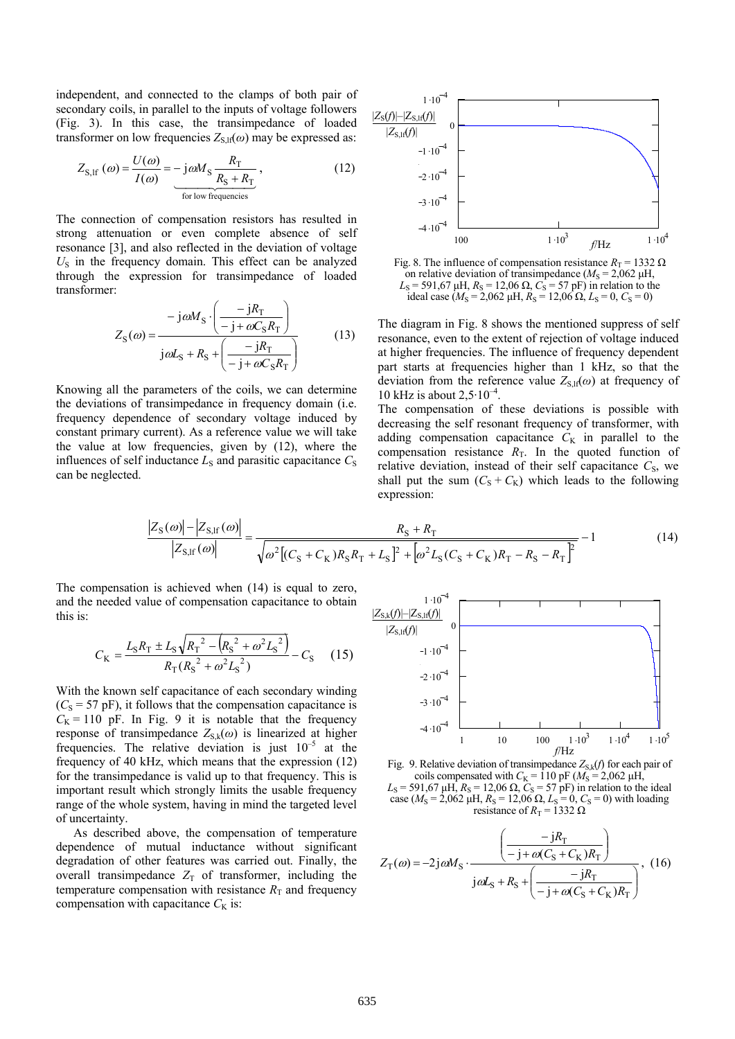independent, and connected to the clamps of both pair of secondary coils, in parallel to the inputs of voltage followers (Fig. 3). In this case, the transimpedance of loaded transformer on low frequencies  $Z_{S,lf}(\omega)$  may be expressed as:

$$
Z_{\text{S,H}}\left(\omega\right) = \frac{U(\omega)}{I(\omega)} = -\text{j}\omega M_{\text{S}} \frac{R_{\text{T}}}{R_{\text{S}} + R_{\text{T}}},\tag{12}
$$

The connection of compensation resistors has resulted in strong attenuation or even complete absence of self resonance [3], and also reflected in the deviation of voltage  $U<sub>S</sub>$  in the frequency domain. This effect can be analyzed through the expression for transimpedance of loaded transformer:

$$
Z_{\rm S}(\omega) = \frac{-j\omega M_{\rm S} \cdot \left(\frac{-jR_{\rm T}}{-j + \omega C_{\rm S}R_{\rm T}}\right)}{j\omega L_{\rm S} + R_{\rm S} + \left(\frac{-jR_{\rm T}}{-j + \omega C_{\rm S}R_{\rm T}}\right)}
$$
(13)

Knowing all the parameters of the coils, we can determine the deviations of transimpedance in frequency domain (i.e. frequency dependence of secondary voltage induced by constant primary current). As a reference value we will take the value at low frequencies, given by (12), where the influences of self inductance  $L<sub>S</sub>$  and parasitic capacitance  $C<sub>S</sub>$ can be neglected.



Fig. 8. The influence of compensation resistance  $R_T = 1332 \Omega$ on relative deviation of transimpedance  $(M<sub>S</sub> = 2,062 \mu H,$  $L_s$  = 591,67  $\mu$ H,  $R_s$  = 12,06  $\Omega$ ,  $C_s$  = 57 pF) in relation to the ideal case ( $M_S = 2{,}062 \mu$ H,  $R_S = 12{,}06 \Omega$ ,  $L_S = 0$ ,  $C_S = 0$ )

The diagram in Fig. 8 shows the mentioned suppress of self resonance, even to the extent of rejection of voltage induced at higher frequencies. The influence of frequency dependent part starts at frequencies higher than 1 kHz, so that the deviation from the reference value  $Z_{S,H}(\omega)$  at frequency of 10 kHz is about  $2,5.10^{-4}$ .

The compensation of these deviations is possible with decreasing the self resonant frequency of transformer, with adding compensation capacitance  $C_K$  in parallel to the compensation resistance  $R<sub>T</sub>$ . In the quoted function of relative deviation, instead of their self capacitance  $C<sub>S</sub>$ , we shall put the sum  $(C_S + C_K)$  which leads to the following expression:

$$
\frac{|Z_{\rm S}(\omega)| - |Z_{\rm S,lf}(\omega)|}{|Z_{\rm S,lf}(\omega)|} = \frac{R_{\rm S} + R_{\rm T}}{\sqrt{\omega^2 \left[ (C_{\rm S} + C_{\rm K}) R_{\rm S} R_{\rm T} + L_{\rm S} \right]^2 + \left[ \omega^2 L_{\rm S} (C_{\rm S} + C_{\rm K}) R_{\rm T} - R_{\rm S} - R_{\rm T} \right]^2}} - 1 \tag{14}
$$

The compensation is achieved when (14) is equal to zero, and the needed value of compensation capacitance to obtain this is:

$$
C_{\rm K} = \frac{L_{\rm S}R_{\rm T} \pm L_{\rm S}\sqrt{{R_{\rm T}}^2 - \left(R_{\rm S}^2 + \omega^2 L_{\rm S}^2\right)}}{R_{\rm T}(R_{\rm S}^2 + \omega^2 L_{\rm S}^2)} - C_{\rm S} \tag{15}
$$

With the known self capacitance of each secondary winding  $(C<sub>S</sub> = 57$  pF), it follows that the compensation capacitance is  $C_K = 110$  pF. In Fig. 9 it is notable that the frequency response of transimpedance  $Z_{S,k}(\omega)$  is linearized at higher frequencies. The relative deviation is just  $10^{-5}$  at the frequency of 40 kHz, which means that the expression (12) for the transimpedance is valid up to that frequency. This is important result which strongly limits the usable frequency range of the whole system, having in mind the targeted level of uncertainty.

As described above, the compensation of temperature dependence of mutual inductance without significant degradation of other features was carried out. Finally, the overall transimpedance  $Z_T$  of transformer, including the temperature compensation with resistance  $R<sub>T</sub>$  and frequency compensation with capacitance  $C_K$  is:



Fig. 9. Relative deviation of transimpedance  $Z_{S,k}(f)$  for each pair of coils compensated with  $C_K = 110$  pF ( $M_S = 2,062$   $\mu$ H,  $L<sub>S</sub>$  = 591,67  $\mu$ H,  $R<sub>S</sub>$  = 12,06  $\Omega$ ,  $C<sub>S</sub>$  = 57 pF) in relation to the ideal

case ( $M_S = 2{,}062 \mu$ H,  $R_S = 12{,}06 \Omega$ ,  $L_S = 0$ ,  $C_S = 0$ ) with loading resistance of  $R_T = 1332 \Omega$ 

$$
Z_{\rm T}(\omega) = -2j\omega M_{\rm S} \cdot \frac{\left(-jR_{\rm T}\right)}{j\omega L_{\rm S} + R_{\rm S} + \left(\frac{-jR_{\rm T}}{-j + \omega (C_{\rm S} + C_{\rm K})R_{\rm T}}\right)},\tag{16}
$$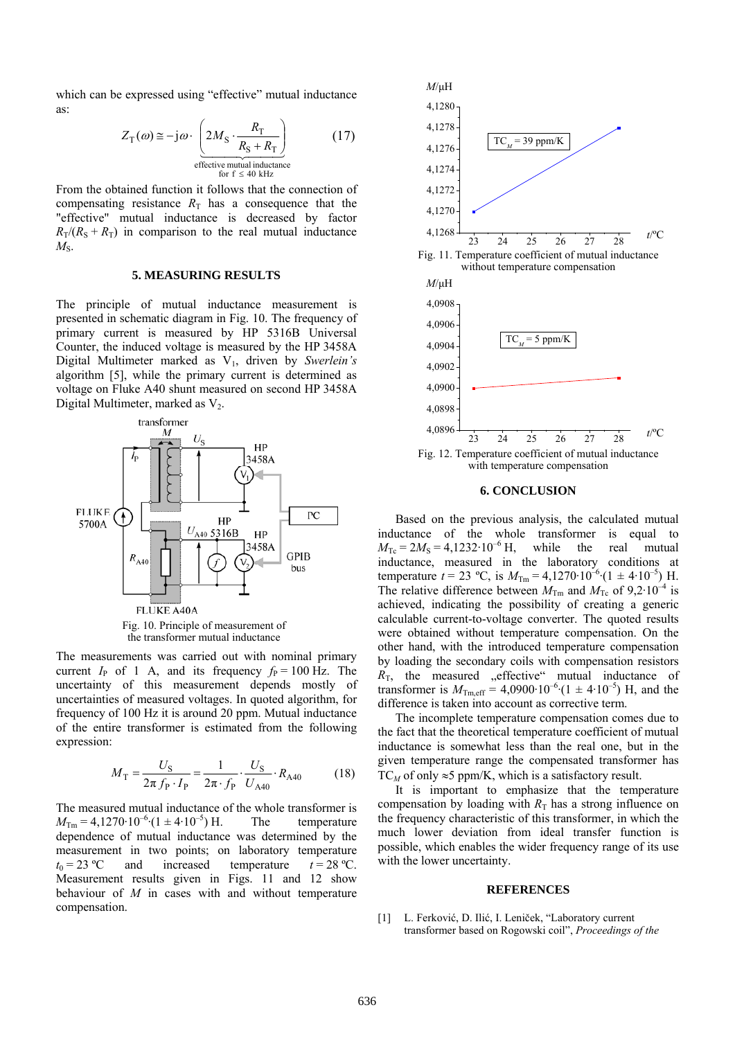which can be expressed using "effective" mutual inductance as:

$$
Z_{\text{T}}(\omega) \approx -j\omega \cdot \underbrace{\left(2M_{\text{S}} \cdot \frac{R_{\text{T}}}{R_{\text{S}} + R_{\text{T}}}\right)}_{\text{effective mutual inductance}}
$$
(17)

From the obtained function it follows that the connection of compensating resistance  $R<sub>T</sub>$  has a consequence that the "effective" mutual inductance is decreased by factor  $R_T/(R_S + R_T)$  in comparison to the real mutual inductance  $M_{\rm S}$ .

## **5. MEASURING RESULTS**

The principle of mutual inductance measurement is presented in schematic diagram in Fig. 10. The frequency of primary current is measured by HP 5316B Universal Counter, the induced voltage is measured by the HP 3458A Digital Multimeter marked as V1, driven by *Swerlein's* algorithm [5], while the primary current is determined as voltage on Fluke A40 shunt measured on second HP 3458A Digital Multimeter, marked as  $V_2$ .



The measurements was carried out with nominal primary current  $I_P$  of 1 A, and its frequency  $f_P = 100$  Hz. The uncertainty of this measurement depends mostly of uncertainties of measured voltages. In quoted algorithm, for frequency of 100 Hz it is around 20 ppm. Mutual inductance of the entire transformer is estimated from the following expression:

$$
M_{\rm T} = \frac{U_{\rm S}}{2\pi f_{\rm P} \cdot I_{\rm P}} = \frac{1}{2\pi \cdot f_{\rm P}} \cdot \frac{U_{\rm S}}{U_{\rm A40}} \cdot R_{\rm A40} \tag{18}
$$

The measured mutual inductance of the whole transformer is  $M_{\text{Tm}} = 4{,}1270 \cdot 10^{-6} \cdot (1 \pm 4 \cdot 10^{-5}) \text{ H.}$  The temperature dependence of mutual inductance was determined by the measurement in two points; on laboratory temperature  $t_0 = 23 \text{ °C}$  and increased temperature  $t = 28 \text{ °C}$ . Measurement results given in Figs. 11 and 12 show behaviour of *M* in cases with and without temperature compensation.



#### **6. CONCLUSION**

Based on the previous analysis, the calculated mutual inductance of the whole transformer is equal to  $M_{\text{Te}} = 2M_{\text{S}} = 4{,}1232.10^{-6} \text{ H}$ , while the real mutual inductance, measured in the laboratory conditions at temperature  $t = 23$  °C, is  $M_{\text{Tm}} = 4{,}1270 \cdot 10^{-6} \cdot (1 \pm 4 \cdot 10^{-5})$  H. The relative difference between  $M_{\text{Tm}}$  and  $M_{\text{Tc}}$  of 9,2·10<sup>-4</sup> is achieved, indicating the possibility of creating a generic calculable current-to-voltage converter. The quoted results were obtained without temperature compensation. On the other hand, with the introduced temperature compensation by loading the secondary coils with compensation resistors  $R<sub>T</sub>$ , the measured "effective" mutual inductance of transformer is  $M_{\text{Tm,eff}} = 4,0900 \cdot 10^{-6} (1 \pm 4 \cdot 10^{-5})$  H, and the difference is taken into account as corrective term.

The incomplete temperature compensation comes due to the fact that the theoretical temperature coefficient of mutual inductance is somewhat less than the real one, but in the given temperature range the compensated transformer has TC<sub>*M*</sub> of only  $\approx$ 5 ppm/K, which is a satisfactory result.

It is important to emphasize that the temperature compensation by loading with  $R<sub>T</sub>$  has a strong influence on the frequency characteristic of this transformer, in which the much lower deviation from ideal transfer function is possible, which enables the wider frequency range of its use with the lower uncertainty.

#### **REFERENCES**

[1] L. Ferković, D. Ilić, I. Leniček, "Laboratory current transformer based on Rogowski coil", *Proceedings of the*